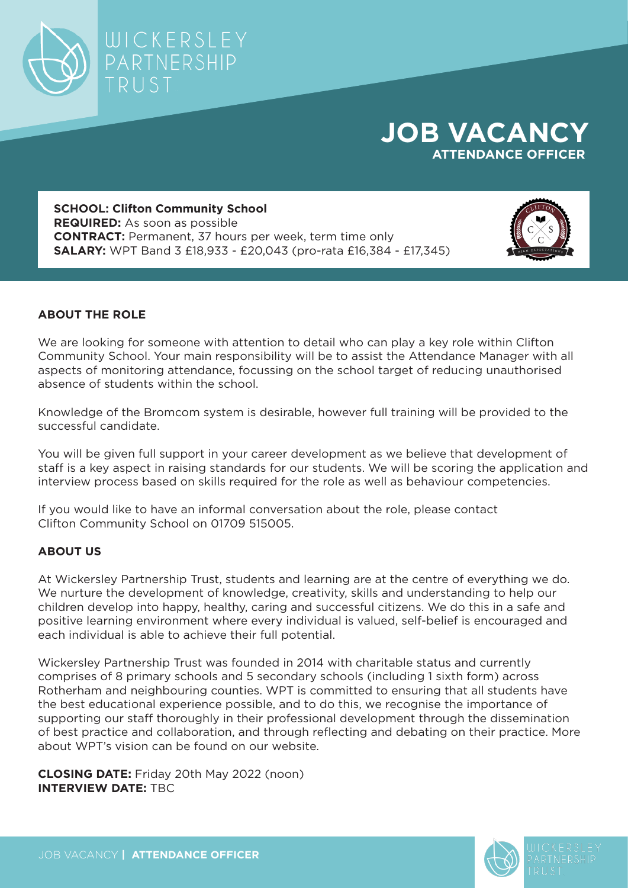

## **JOB VACANCY ATTENDANCE OFFICER**

**SCHOOL: Clifton Community School REQUIRED:** As soon as possible **CONTRACT:** Permanent, 37 hours per week, term time only **SALARY:** WPT Band 3 £18,933 - £20,043 (pro-rata £16,384 - £17,345)



## **ABOUT THE ROLE**

We are looking for someone with attention to detail who can play a key role within Clifton Community School. Your main responsibility will be to assist the Attendance Manager with all aspects of monitoring attendance, focussing on the school target of reducing unauthorised absence of students within the school.

Knowledge of the Bromcom system is desirable, however full training will be provided to the successful candidate.

You will be given full support in your career development as we believe that development of staff is a key aspect in raising standards for our students. We will be scoring the application and interview process based on skills required for the role as well as behaviour competencies.

If you would like to have an informal conversation about the role, please contact Clifton Community School on 01709 515005.

## **ABOUT US**

At Wickersley Partnership Trust, students and learning are at the centre of everything we do. We nurture the development of knowledge, creativity, skills and understanding to help our children develop into happy, healthy, caring and successful citizens. We do this in a safe and positive learning environment where every individual is valued, self-belief is encouraged and each individual is able to achieve their full potential.

Wickersley Partnership Trust was founded in 2014 with charitable status and currently comprises of 8 primary schools and 5 secondary schools (including 1 sixth form) across Rotherham and neighbouring counties. WPT is committed to ensuring that all students have the best educational experience possible, and to do this, we recognise the importance of supporting our staff thoroughly in their professional development through the dissemination of best practice and collaboration, and through reflecting and debating on their practice. More about WPT's vision can be found on our website.

**CLOSING DATE:** Friday 20th May 2022 (noon) **INTERVIEW DATE:** TBC